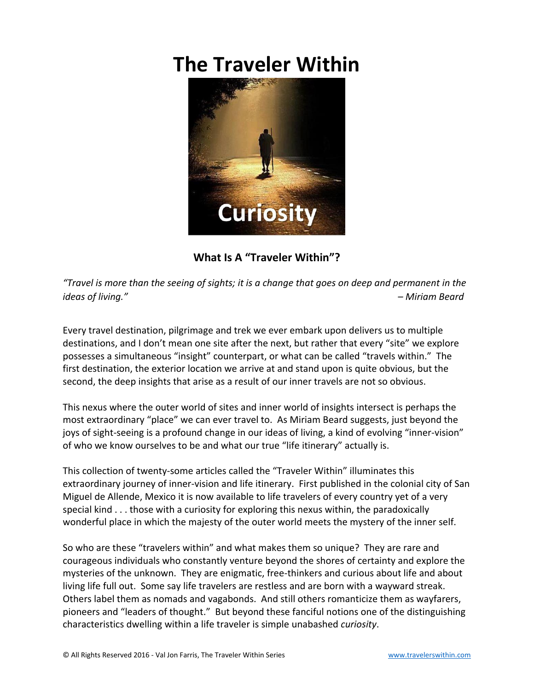## **The Traveler Within**



**What Is A "Traveler Within"?**

*"Travel is more than the seeing of sights; it is a change that goes on deep and permanent in the ideas of living." – Miriam Beard*

Every travel destination, pilgrimage and trek we ever embark upon delivers us to multiple destinations, and I don't mean one site after the next, but rather that every "site" we explore possesses a simultaneous "insight" counterpart, or what can be called "travels within." The first destination, the exterior location we arrive at and stand upon is quite obvious, but the second, the deep insights that arise as a result of our inner travels are not so obvious.

This nexus where the outer world of sites and inner world of insights intersect is perhaps the most extraordinary "place" we can ever travel to. As Miriam Beard suggests, just beyond the joys of sight-seeing is a profound change in our ideas of living, a kind of evolving "inner-vision" of who we know ourselves to be and what our true "life itinerary" actually is.

This collection of twenty-some articles called the "Traveler Within" illuminates this extraordinary journey of inner-vision and life itinerary. First published in the colonial city of San Miguel de Allende, Mexico it is now available to life travelers of every country yet of a very special kind . . . those with a curiosity for exploring this nexus within, the paradoxically wonderful place in which the majesty of the outer world meets the mystery of the inner self.

So who are these "travelers within" and what makes them so unique? They are rare and courageous individuals who constantly venture beyond the shores of certainty and explore the mysteries of the unknown. They are enigmatic, free-thinkers and curious about life and about living life full out. Some say life travelers are restless and are born with a wayward streak. Others label them as nomads and vagabonds. And still others romanticize them as wayfarers, pioneers and "leaders of thought." But beyond these fanciful notions one of the distinguishing characteristics dwelling within a life traveler is simple unabashed *curiosity*.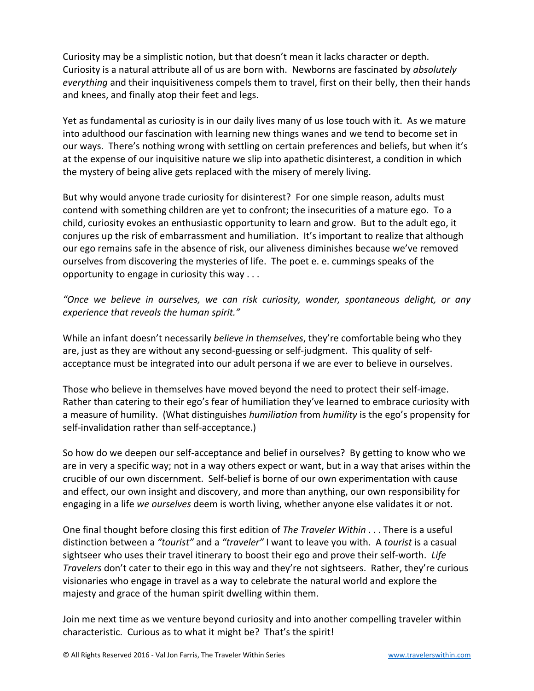Curiosity may be a simplistic notion, but that doesn't mean it lacks character or depth. Curiosity is a natural attribute all of us are born with. Newborns are fascinated by *absolutely everything* and their inquisitiveness compels them to travel, first on their belly, then their hands and knees, and finally atop their feet and legs.

Yet as fundamental as curiosity is in our daily lives many of us lose touch with it. As we mature into adulthood our fascination with learning new things wanes and we tend to become set in our ways. There's nothing wrong with settling on certain preferences and beliefs, but when it's at the expense of our inquisitive nature we slip into apathetic disinterest, a condition in which the mystery of being alive gets replaced with the misery of merely living.

But why would anyone trade curiosity for disinterest? For one simple reason, adults must contend with something children are yet to confront; the insecurities of a mature ego. To a child, curiosity evokes an enthusiastic opportunity to learn and grow. But to the adult ego, it conjures up the risk of embarrassment and humiliation. It's important to realize that although our ego remains safe in the absence of risk, our aliveness diminishes because we've removed ourselves from discovering the mysteries of life. The poet e. e. cummings speaks of the opportunity to engage in curiosity this way . . .

*"Once we believe in ourselves, we can risk curiosity, wonder, spontaneous delight, or any experience that reveals the human spirit."*

While an infant doesn't necessarily *believe in themselves*, they're comfortable being who they are, just as they are without any second-guessing or self-judgment. This quality of selfacceptance must be integrated into our adult persona if we are ever to believe in ourselves.

Those who believe in themselves have moved beyond the need to protect their self-image. Rather than catering to their ego's fear of humiliation they've learned to embrace curiosity with a measure of humility. (What distinguishes *humiliation* from *humility* is the ego's propensity for self-invalidation rather than self-acceptance.)

So how do we deepen our self-acceptance and belief in ourselves? By getting to know who we are in very a specific way; not in a way others expect or want, but in a way that arises within the crucible of our own discernment. Self-belief is borne of our own experimentation with cause and effect, our own insight and discovery, and more than anything, our own responsibility for engaging in a life *we ourselves* deem is worth living, whether anyone else validates it or not.

One final thought before closing this first edition of *The Traveler Within* . . . There is a useful distinction between a *"tourist"* and a *"traveler"* I want to leave you with. A *tourist* is a casual sightseer who uses their travel itinerary to boost their ego and prove their self-worth. *Life Travelers* don't cater to their ego in this way and they're not sightseers. Rather, they're curious visionaries who engage in travel as a way to celebrate the natural world and explore the majesty and grace of the human spirit dwelling within them.

Join me next time as we venture beyond curiosity and into another compelling traveler within characteristic. Curious as to what it might be? That's the spirit!